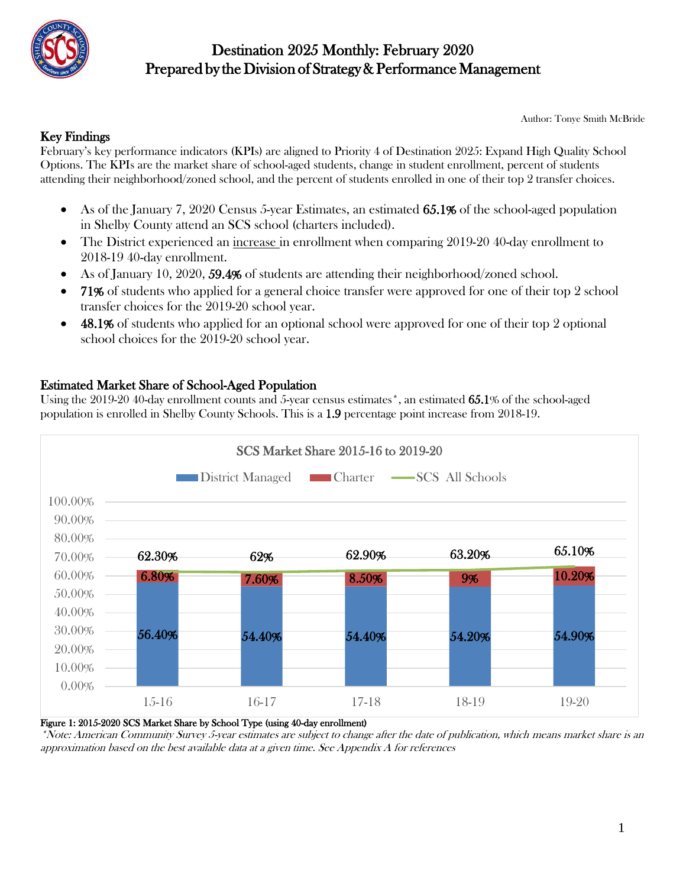

Author: Tonye Smith McBride

#### Key Findings

February's key performance indicators (KPIs) are aligned to Priority 4 of Destination 2025: Expand High Quality School Options. The KPIs are the market share of school-aged students, change in student enrollment, percent of students attending their neighborhood/zoned school, and the percent of students enrolled in one of their top 2 transfer choices.

- As of the January 7, 2020 Census 5-year Estimates, an estimated 65.1% of the school-aged population in Shelby County attend an SCS school (charters included).
- The District experienced an increase in enrollment when comparing 2019-20 40-day enrollment to 2018-19 40-day enrollment.
- As of January 10, 2020, 59.4% of students are attending their neighborhood/zoned school.
- 71% of students who applied for a general choice transfer were approved for one of their top 2 school transfer choices for the 2019-20 school year.
- 48.1% of students who applied for an optional school were approved for one of their top 2 optional school choices for the 2019-20 school year.

#### Estimated Market Share of School-Aged Population

Using the 2019-20 40-day enrollment counts and 5-year census estimates\*, an estimated 65.1% of the school-aged population is enrolled in Shelby County Schools. This is a 1.9 percentage point increase from 2018-19.



Figure 1: 2015-2020 SCS Market Share by School Type (using 40-day enrollment)

\*Note: American Community Survey 5-year estimates are subject to change after the date of publication, which means market share is an approximation based on the best available data at a given time. See Appendix A for references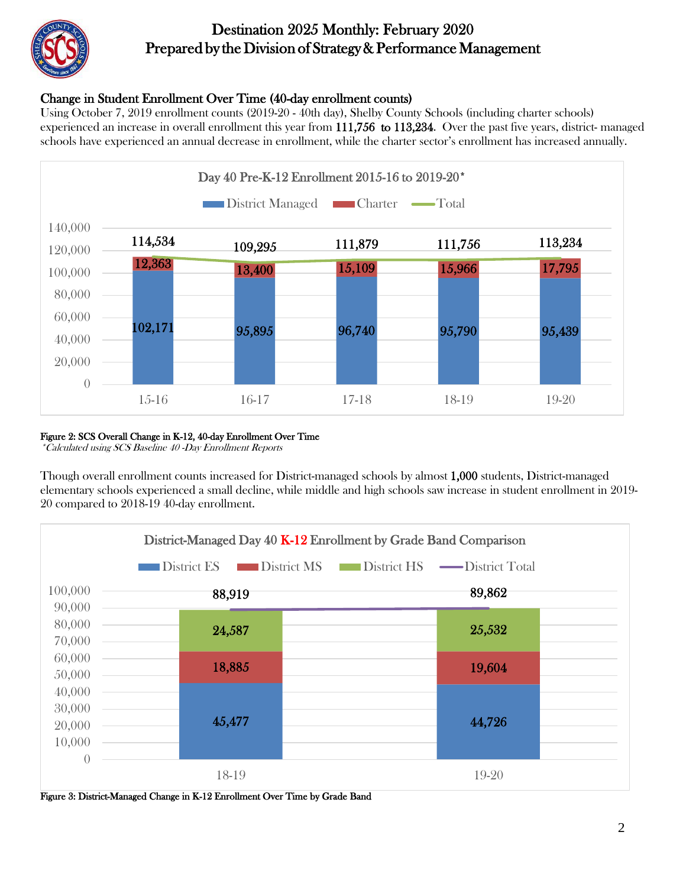

#### Change in Student Enrollment Over Time (40-day enrollment counts)

Using October 7, 2019 enrollment counts (2019-20 - 40th day), Shelby County Schools (including charter schools) experienced an increase in overall enrollment this year from 111,756 to 113,234. Over the past five years, district- managed schools have experienced an annual decrease in enrollment, while the charter sector's enrollment has increased annually.



#### Figure 2: SCS Overall Change in K-12, 40-day Enrollment Over Time

\*Calculated using SCS Baseline 40 -Day Enrollment Reports

Though overall enrollment counts increased for District-managed schools by almost 1,000 students, District-managed elementary schools experienced a small decline, while middle and high schools saw increase in student enrollment in 2019- 20 compared to 2018-19 40-day enrollment.



Figure 3: District-Managed Change in K-12 Enrollment Over Time by Grade Band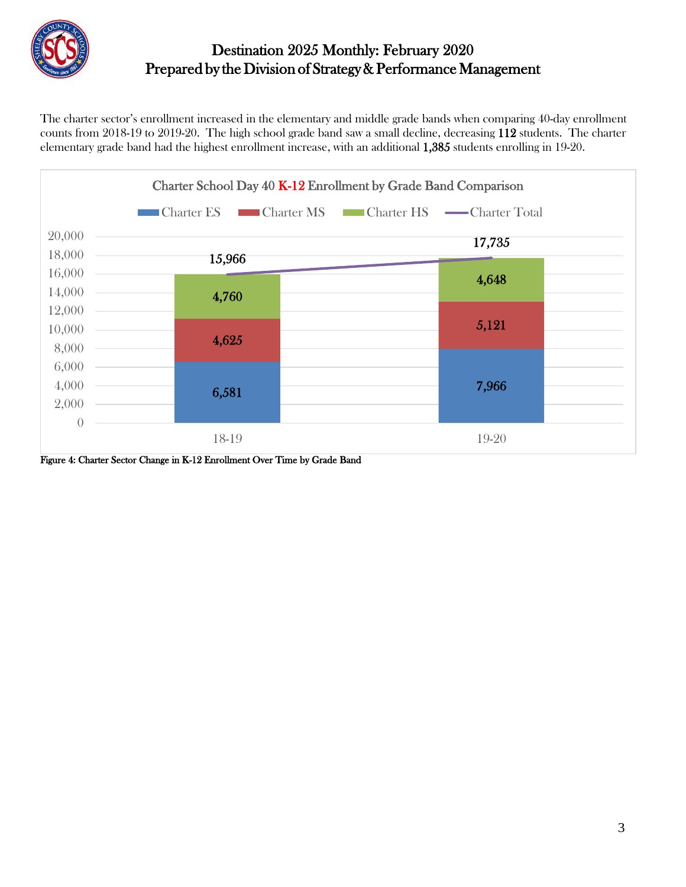

The charter sector's enrollment increased in the elementary and middle grade bands when comparing 40-day enrollment counts from 2018-19 to 2019-20. The high school grade band saw a small decline, decreasing 112 students. The charter elementary grade band had the highest enrollment increase, with an additional 1,385 students enrolling in 19-20.



Figure 4: Charter Sector Change in K-12 Enrollment Over Time by Grade Band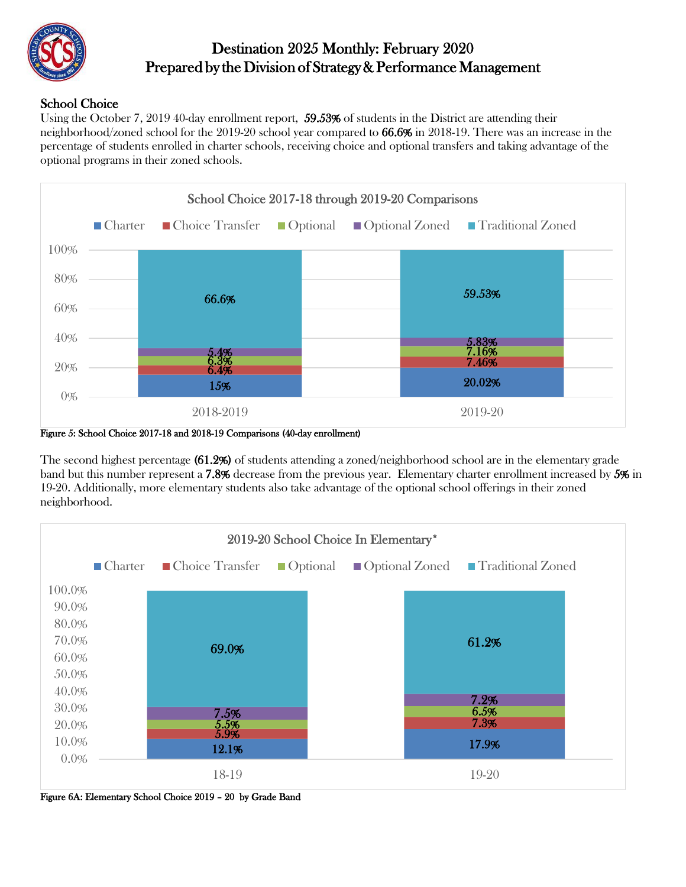

#### School Choice

Using the October 7, 2019 40-day enrollment report, 59.53% of students in the District are attending their neighborhood/zoned school for the 2019-20 school year compared to 66.6% in 2018-19. There was an increase in the percentage of students enrolled in charter schools, receiving choice and optional transfers and taking advantage of the optional programs in their zoned schools.



Figure 5: School Choice 2017-18 and 2018-19 Comparisons (40-day enrollment)

The second highest percentage (61.2%) of students attending a zoned/neighborhood school are in the elementary grade band but this number represent a 7.8% decrease from the previous year. Elementary charter enrollment increased by 5% in 19-20. Additionally, more elementary students also take advantage of the optional school offerings in their zoned neighborhood.



Figure 6A: Elementary School Choice 2019 – 20 by Grade Band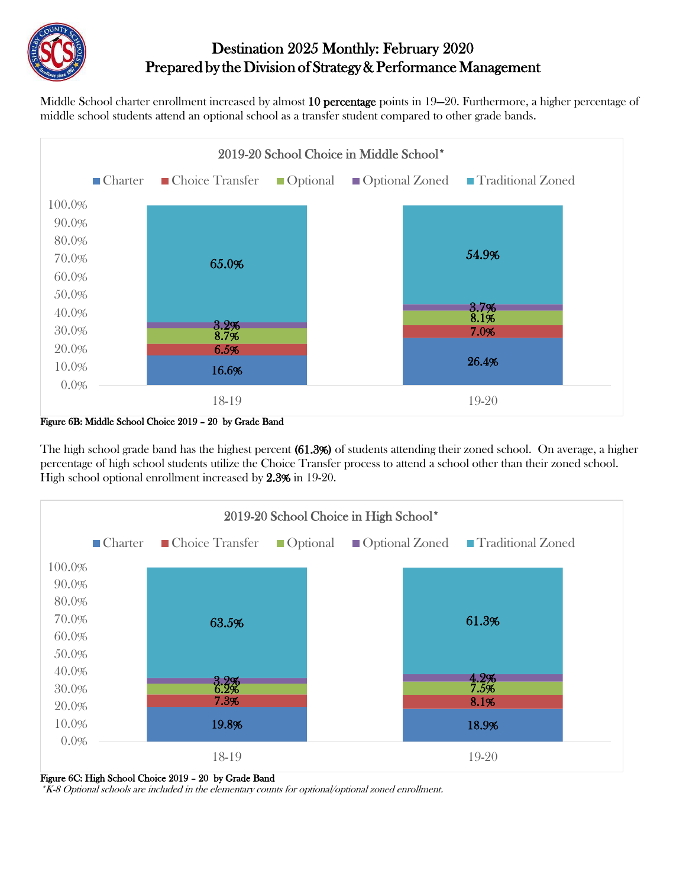

Middle School charter enrollment increased by almost 10 percentage points in 19—20. Furthermore, a higher percentage of middle school students attend an optional school as a transfer student compared to other grade bands.



Figure 6B: Middle School Choice 2019 – 20 by Grade Band

The high school grade band has the highest percent (61.3%) of students attending their zoned school. On average, a higher percentage of high school students utilize the Choice Transfer process to attend a school other than their zoned school. High school optional enrollment increased by 2.3% in 19-20.





\*K-8 Optional schools are included in the elementary counts for optional/optional zoned enrollment.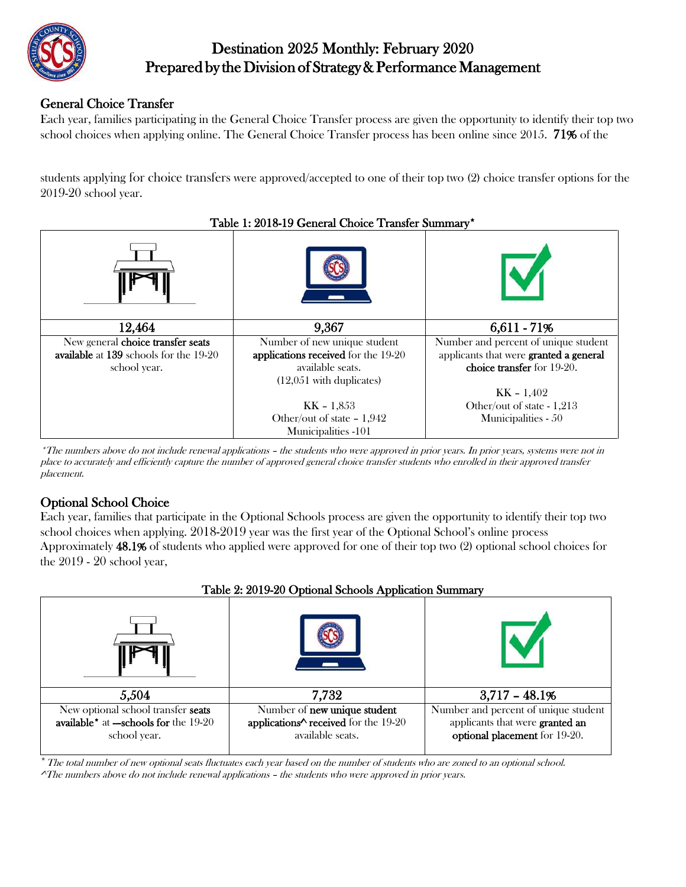

#### General Choice Transfer

Each year, families participating in the General Choice Transfer process are given the opportunity to identify their top two school choices when applying online. The General Choice Transfer process has been online since 2015. 71% of the

students applying for choice transfers were approved/accepted to one of their top two (2) choice transfer options for the 2019-20 school year.



\*The numbers above do not include renewal applications – the students who were approved in prior years. In prior years, systems were not in place to accurately and efficiently capture the number of approved general choice transfer students who enrolled in their approved transfer placement.

#### Optional School Choice

Each year, families that participate in the Optional Schools process are given the opportunity to identify their top two school choices when applying. 2018-2019 year was the first year of the Optional School's online process Approximately 48.1% of students who applied were approved for one of their top two (2) optional school choices for the 2019 - 20 school year,



The total number of new optional seats fluctuates each year based on the number of students who are zoned to an optional school. ^The numbers above do not include renewal applications – the students who were approved in prior years.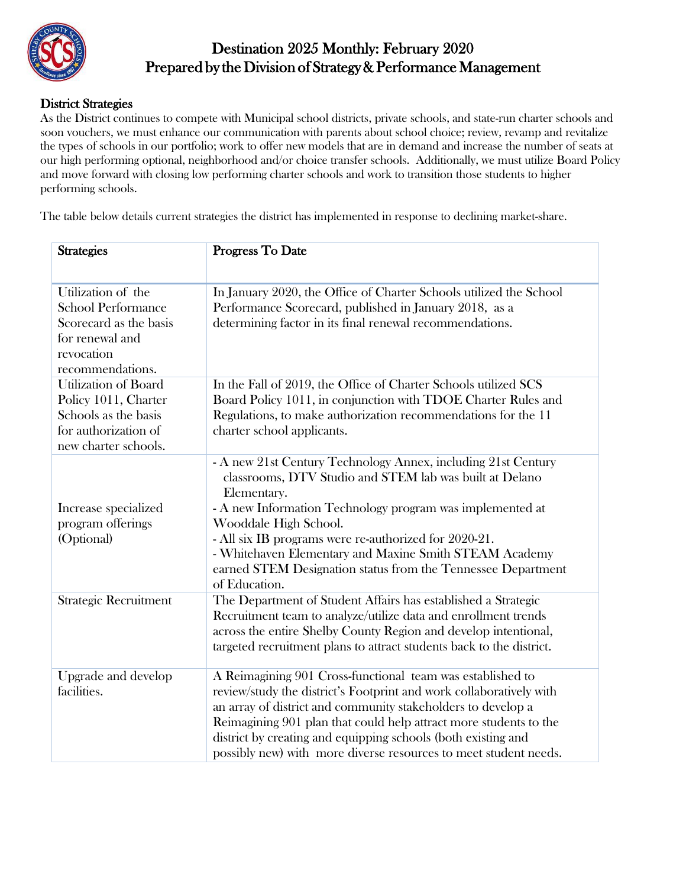

#### District Strategies

As the District continues to compete with Municipal school districts, private schools, and state-run charter schools and soon vouchers, we must enhance our communication with parents about school choice; review, revamp and revitalize the types of schools in our portfolio; work to offer new models that are in demand and increase the number of seats at our high performing optional, neighborhood and/or choice transfer schools. Additionally, we must utilize Board Policy and move forward with closing low performing charter schools and work to transition those students to higher performing schools.

The table below details current strategies the district has implemented in response to declining market-share.

| <b>Strategies</b>                                                                                                              | Progress To Date                                                                                                                                                                                                                                                                                                                                                                                                                  |
|--------------------------------------------------------------------------------------------------------------------------------|-----------------------------------------------------------------------------------------------------------------------------------------------------------------------------------------------------------------------------------------------------------------------------------------------------------------------------------------------------------------------------------------------------------------------------------|
| Utilization of the<br><b>School Performance</b><br>Scorecard as the basis<br>for renewal and<br>revocation<br>recommendations. | In January 2020, the Office of Charter Schools utilized the School<br>Performance Scorecard, published in January 2018, as a<br>determining factor in its final renewal recommendations.                                                                                                                                                                                                                                          |
| <b>Utilization of Board</b><br>Policy 1011, Charter<br>Schools as the basis<br>for authorization of<br>new charter schools.    | In the Fall of 2019, the Office of Charter Schools utilized SCS<br>Board Policy 1011, in conjunction with TDOE Charter Rules and<br>Regulations, to make authorization recommendations for the 11<br>charter school applicants.                                                                                                                                                                                                   |
| Increase specialized<br>program offerings<br>(Optional)                                                                        | - A new 21st Century Technology Annex, including 21st Century<br>classrooms, DTV Studio and STEM lab was built at Delano<br>Elementary.<br>- A new Information Technology program was implemented at<br>Wooddale High School.<br>- All six IB programs were re-authorized for 2020-21.<br>- Whitehaven Elementary and Maxine Smith STEAM Academy<br>earned STEM Designation status from the Tennessee Department<br>of Education. |
| <b>Strategic Recruitment</b>                                                                                                   | The Department of Student Affairs has established a Strategic<br>Recruitment team to analyze/utilize data and enrollment trends<br>across the entire Shelby County Region and develop intentional,<br>targeted recruitment plans to attract students back to the district.                                                                                                                                                        |
| Upgrade and develop<br>facilities.                                                                                             | A Reimagining 901 Cross-functional team was established to<br>review/study the district's Footprint and work collaboratively with<br>an array of district and community stakeholders to develop a<br>Reimagining 901 plan that could help attract more students to the<br>district by creating and equipping schools (both existing and<br>possibly new) with more diverse resources to meet student needs.                       |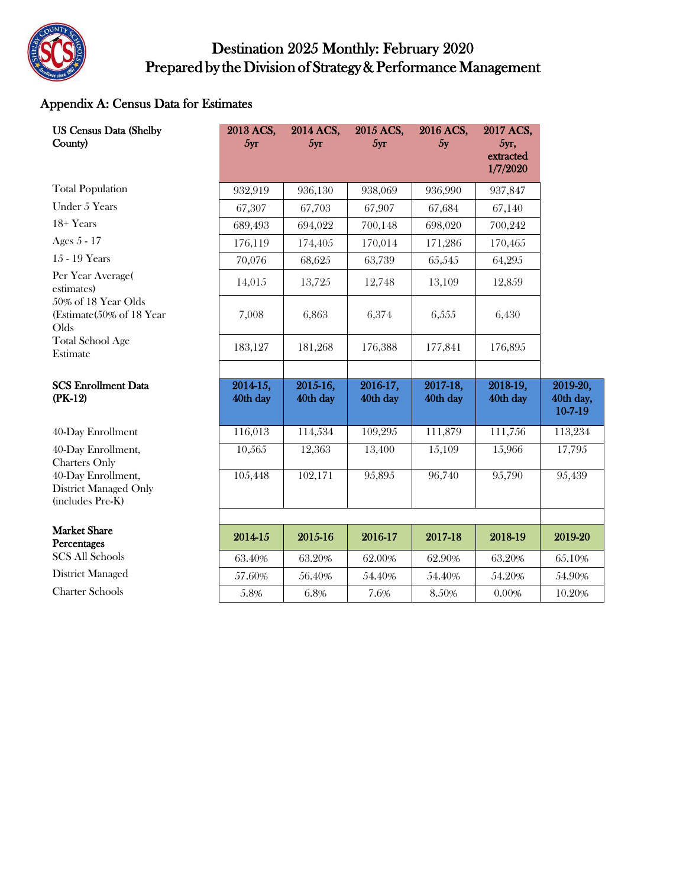

#### Appendix A: Census Data for Estimates

| <b>US Census Data (Shelby</b><br>County)                               | 2013 ACS,<br>5yr     | 2014 ACS,<br>5yr     | 2015 ACS,<br>5yr     | 2016 ACS,<br>5y      | 2017 ACS,<br>5yr,<br>extracted<br>1/7/2020 |                                  |
|------------------------------------------------------------------------|----------------------|----------------------|----------------------|----------------------|--------------------------------------------|----------------------------------|
| <b>Total Population</b>                                                | 932,919              | 936,130              | 938,069              | 936,990              | 937,847                                    |                                  |
| Under 5 Years                                                          | 67,307               | 67,703               | 67,907               | 67,684               | 67,140                                     |                                  |
| $18+Years$                                                             | 689,493              | 694,022              | 700,148              | 698,020              | 700,242                                    |                                  |
| Ages 5 - 17                                                            | 176,119              | 174,405              | 170,014              | 171,286              | 170,465                                    |                                  |
| 15 - 19 Years                                                          | 70,076               | 68,625               | 63,739               | 65,545               | 64,295                                     |                                  |
| Per Year Average(<br>estimates)                                        | 14,015               | 13,725               | 12,748               | 13,109               | 12,859                                     |                                  |
| 50% of 18 Year Olds<br>(Estimate (50% of 18 Year)<br>Olds              | 7,008                | 6,863                | 6,374                | 6,555                | 6,430                                      |                                  |
| <b>Total School Age</b><br>Estimate                                    | 183,127              | 181,268              | 176,388              | 177,841              | 176,895                                    |                                  |
| <b>SCS Enrollment Data</b><br>$(PK-12)$                                | 2014-15,<br>40th day | 2015-16,<br>40th day | 2016-17,<br>40th day | 2017-18,<br>40th day | 2018-19,<br>40th day                       | 2019-20,<br>40th day,<br>10-7-19 |
| 40-Day Enrollment                                                      | 116,013              | 114,534              | 109,295              | 111,879              | 111,756                                    | 113,234                          |
| 40-Day Enrollment,<br><b>Charters Only</b>                             | 10,565               | 12,363               | 13,400               | 15,109               | 15,966                                     | 17,795                           |
| 40-Day Enrollment,<br><b>District Managed Only</b><br>(includes Pre-K) | 105,448              | 102,171              | 95,895               | 96,740               | 95,790                                     | 95,439                           |
|                                                                        |                      |                      |                      |                      |                                            |                                  |
| <b>Market Share</b><br>Percentages                                     | 2014-15              | 2015-16              | 2016-17              | 2017-18              | 2018-19                                    | 2019-20                          |
| <b>SCS All Schools</b>                                                 | 63.40%               | 63.20%               | 62.00%               | 62.90%               | 63.20%                                     | 65.10%                           |
| <b>District Managed</b>                                                | 57.60%               | 56.40%               | 54.40%               | 54.40%               | 54.20%                                     | 54.90%                           |
| <b>Charter Schools</b>                                                 | 5.8%                 | 6.8%                 | 7.6%                 | 8.50%                | 0.00%                                      | 10.20%                           |